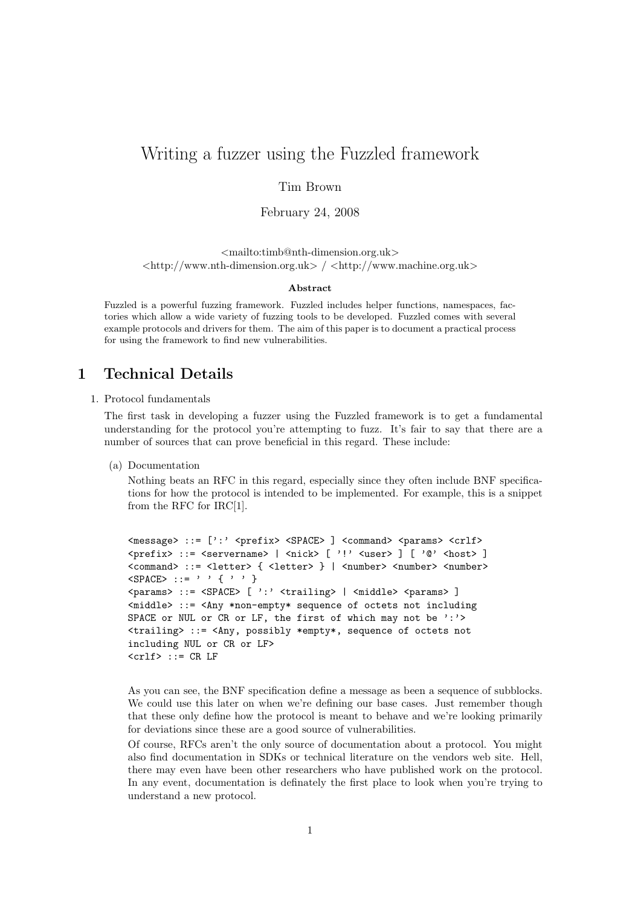# Writing a fuzzer using the Fuzzled framework

### Tim Brown

February 24, 2008

<mailto:timb@nth-dimension.org.uk>  $\langle \text{http://www.nth-dimension.org.uk>} / \langle \text{http://www.machine.org.uk>} \rangle$ 

#### Abstract

Fuzzled is a powerful fuzzing framework. Fuzzled includes helper functions, namespaces, factories which allow a wide variety of fuzzing tools to be developed. Fuzzled comes with several example protocols and drivers for them. The aim of this paper is to document a practical process for using the framework to find new vulnerabilities.

# 1 Technical Details

### 1. Protocol fundamentals

The first task in developing a fuzzer using the Fuzzled framework is to get a fundamental understanding for the protocol you're attempting to fuzz. It's fair to say that there are a number of sources that can prove beneficial in this regard. These include:

(a) Documentation

Nothing beats an RFC in this regard, especially since they often include BNF specifications for how the protocol is intended to be implemented. For example, this is a snippet from the RFC for IRC[1].

```
<message> ::= [':' <prefix> <SPACE> ] <command> <params> <crlf>
\langle \text{prefix} \rangle ::= \langle \text{servername} \rangle | \langle \text{nick} \rangle |' \rangle \langle \text{user} \rangle |' \langle \text{west} \rangle<command> ::= <letter> { <letter> } | <number> <number> <number>
\langleSPACE> ::= ' ' { ' ' }
<params> ::= <SPACE> [ ':' <trailing> | <middle> <params> ]
<middle> ::= <Any *non-empty* sequence of octets not including
SPACE or NUL or CR or LF, the first of which may not be ':'>
<trailing> ::= <Any, possibly *empty*, sequence of octets not
including NUL or CR or LF>
\langle \text{crlf} \rangle ::= CR LF
```
As you can see, the BNF specification define a message as been a sequence of subblocks. We could use this later on when we're defining our base cases. Just remember though that these only define how the protocol is meant to behave and we're looking primarily for deviations since these are a good source of vulnerabilities.

Of course, RFCs aren't the only source of documentation about a protocol. You might also find documentation in SDKs or technical literature on the vendors web site. Hell, there may even have been other researchers who have published work on the protocol. In any event, documentation is definately the first place to look when you're trying to understand a new protocol.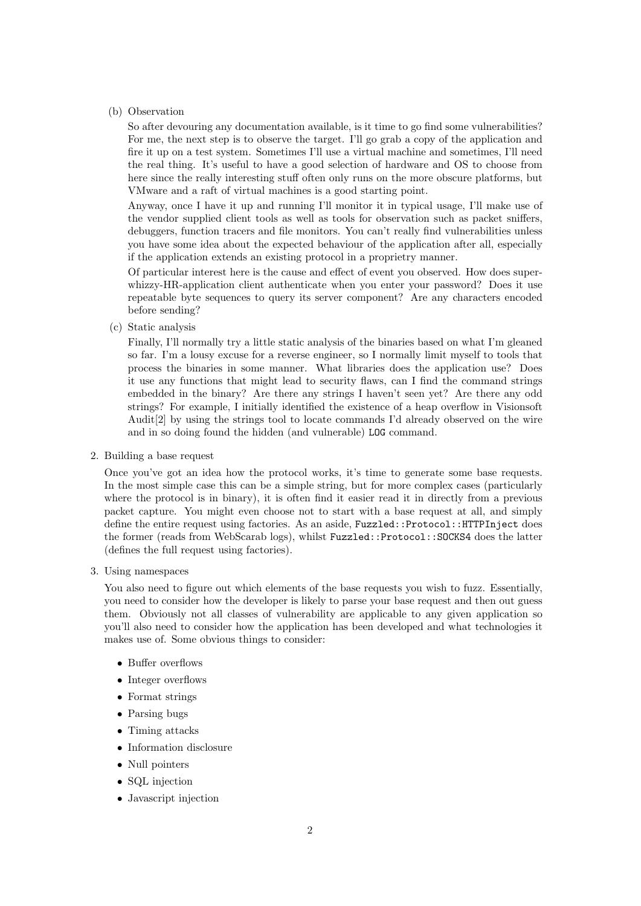### (b) Observation

So after devouring any documentation available, is it time to go find some vulnerabilities? For me, the next step is to observe the target. I'll go grab a copy of the application and fire it up on a test system. Sometimes I'll use a virtual machine and sometimes, I'll need the real thing. It's useful to have a good selection of hardware and OS to choose from here since the really interesting stuff often only runs on the more obscure platforms, but VMware and a raft of virtual machines is a good starting point.

Anyway, once I have it up and running I'll monitor it in typical usage, I'll make use of the vendor supplied client tools as well as tools for observation such as packet sniffers, debuggers, function tracers and file monitors. You can't really find vulnerabilities unless you have some idea about the expected behaviour of the application after all, especially if the application extends an existing protocol in a proprietry manner.

Of particular interest here is the cause and effect of event you observed. How does superwhizzy-HR-application client authenticate when you enter your password? Does it use repeatable byte sequences to query its server component? Are any characters encoded before sending?

(c) Static analysis

Finally, I'll normally try a little static analysis of the binaries based on what I'm gleaned so far. I'm a lousy excuse for a reverse engineer, so I normally limit myself to tools that process the binaries in some manner. What libraries does the application use? Does it use any functions that might lead to security flaws, can I find the command strings embedded in the binary? Are there any strings I haven't seen yet? Are there any odd strings? For example, I initially identified the existence of a heap overflow in Visionsoft Audit[2] by using the strings tool to locate commands I'd already observed on the wire and in so doing found the hidden (and vulnerable) LOG command.

2. Building a base request

Once you've got an idea how the protocol works, it's time to generate some base requests. In the most simple case this can be a simple string, but for more complex cases (particularly where the protocol is in binary), it is often find it easier read it in directly from a previous packet capture. You might even choose not to start with a base request at all, and simply define the entire request using factories. As an aside, Fuzzled::Protocol::HTTPInject does the former (reads from WebScarab logs), whilst Fuzzled::Protocol::SOCKS4 does the latter (defines the full request using factories).

3. Using namespaces

You also need to figure out which elements of the base requests you wish to fuzz. Essentially, you need to consider how the developer is likely to parse your base request and then out guess them. Obviously not all classes of vulnerability are applicable to any given application so you'll also need to consider how the application has been developed and what technologies it makes use of. Some obvious things to consider:

- Buffer overflows
- Integer overflows
- Format strings
- Parsing bugs
- Timing attacks
- Information disclosure
- Null pointers
- SQL injection
- Javascript injection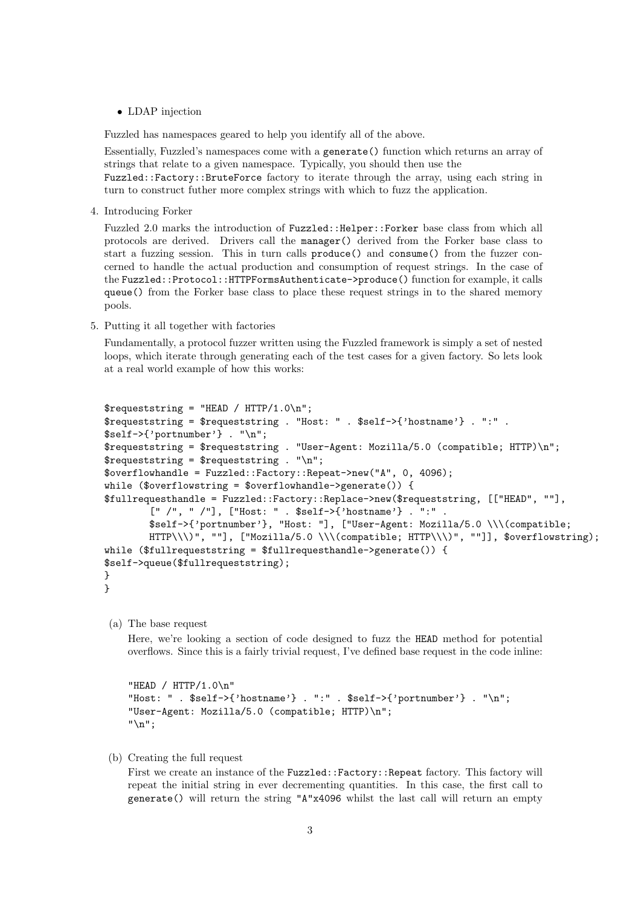• LDAP injection

Fuzzled has namespaces geared to help you identify all of the above.

Essentially, Fuzzled's namespaces come with a generate() function which returns an array of strings that relate to a given namespace. Typically, you should then use the

Fuzzled::Factory::BruteForce factory to iterate through the array, using each string in turn to construct futher more complex strings with which to fuzz the application.

4. Introducing Forker

Fuzzled 2.0 marks the introduction of Fuzzled::Helper::Forker base class from which all protocols are derived. Drivers call the manager() derived from the Forker base class to start a fuzzing session. This in turn calls produce() and consume() from the fuzzer concerned to handle the actual production and consumption of request strings. In the case of the Fuzzled::Protocol::HTTPFormsAuthenticate->produce() function for example, it calls queue() from the Forker base class to place these request strings in to the shared memory pools.

5. Putting it all together with factories

Fundamentally, a protocol fuzzer written using the Fuzzled framework is simply a set of nested loops, which iterate through generating each of the test cases for a given factory. So lets look at a real world example of how this works:

```
$requeststring = "HEAD / HTTP/1.0\n";$requeststring = $requeststring . "Host: " . $self->{'hostname'} . ":" .
$self->{'portnumber'} . "\n";
$requeststring = $requeststring . "User-Agent: Mozilla/5.0 (compatible; HTTP)\n";
$requeststring = $requeststring . "\\n";$overflowhandle = Fuzzled::Factory::Repeat->new("A", 0, 4096);
while ($overflowstring = $overflowhandle->generate()) {
$fullrequesthandle = Fuzzled::Factory::Replace->new($requeststring, [["HEAD", ""],
        [" /", " /"], ["Host: " . $self->{'hostname'} . ":" .
        $self->{'portnumber'}, "Host: "], ["User-Agent: Mozilla/5.0 \\\(compatible;
        HTTP\\\)", ""], ["Mozilla/5.0 \\\(compatible; HTTP\\\)", ""]], $overflowstring);
while ($fullrequeststring = $fullrequesthandle->generate()) {
$self->queue($fullrequeststring);
}
}
```
(a) The base request

Here, we're looking a section of code designed to fuzz the HEAD method for potential overflows. Since this is a fairly trivial request, I've defined base request in the code inline:

```
"HEAD / HTTP/1.0\n"
"Host: " . $self->{'hostname'} . ":" . $self->{'portnumber'} . "\n";
"User-Agent: Mozilla/5.0 (compatible; HTTP)\n";
"\n";
```
(b) Creating the full request

First we create an instance of the Fuzzled::Factory::Repeat factory. This factory will repeat the initial string in ever decrementing quantities. In this case, the first call to generate() will return the string "A"x4096 whilst the last call will return an empty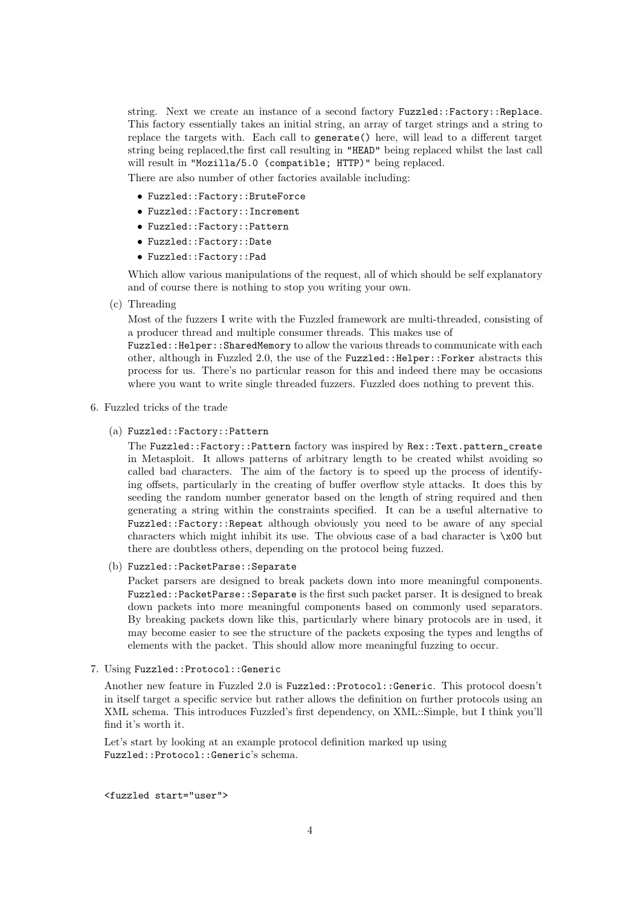string. Next we create an instance of a second factory Fuzzled::Factory::Replace. This factory essentially takes an initial string, an array of target strings and a string to replace the targets with. Each call to generate() here, will lead to a different target string being replaced,the first call resulting in "HEAD" being replaced whilst the last call will result in "Mozilla/5.0 (compatible; HTTP)" being replaced.

There are also number of other factories available including:

- Fuzzled::Factory::BruteForce
- Fuzzled::Factory::Increment
- Fuzzled::Factory::Pattern
- Fuzzled::Factory::Date
- Fuzzled::Factory::Pad

Which allow various manipulations of the request, all of which should be self explanatory and of course there is nothing to stop you writing your own.

(c) Threading

Most of the fuzzers I write with the Fuzzled framework are multi-threaded, consisting of a producer thread and multiple consumer threads. This makes use of

Fuzzled::Helper::SharedMemory to allow the various threads to communicate with each other, although in Fuzzled 2.0, the use of the Fuzzled::Helper::Forker abstracts this process for us. There's no particular reason for this and indeed there may be occasions where you want to write single threaded fuzzers. Fuzzled does nothing to prevent this.

#### 6. Fuzzled tricks of the trade

(a) Fuzzled::Factory::Pattern

The Fuzzled::Factory::Pattern factory was inspired by Rex::Text.pattern\_create in Metasploit. It allows patterns of arbitrary length to be created whilst avoiding so called bad characters. The aim of the factory is to speed up the process of identifying offsets, particularly in the creating of buffer overflow style attacks. It does this by seeding the random number generator based on the length of string required and then generating a string within the constraints specified. It can be a useful alternative to Fuzzled::Factory::Repeat although obviously you need to be aware of any special characters which might inhibit its use. The obvious case of a bad character is \x00 but there are doubtless others, depending on the protocol being fuzzed.

(b) Fuzzled::PacketParse::Separate

Packet parsers are designed to break packets down into more meaningful components. Fuzzled::PacketParse::Separate is the first such packet parser. It is designed to break down packets into more meaningful components based on commonly used separators. By breaking packets down like this, particularly where binary protocols are in used, it may become easier to see the structure of the packets exposing the types and lengths of elements with the packet. This should allow more meaningful fuzzing to occur.

#### 7. Using Fuzzled::Protocol::Generic

Another new feature in Fuzzled 2.0 is Fuzzled::Protocol::Generic. This protocol doesn't in itself target a specific service but rather allows the definition on further protocols using an XML schema. This introduces Fuzzled's first dependency, on XML::Simple, but I think you'll find it's worth it.

Let's start by looking at an example protocol definition marked up using Fuzzled::Protocol::Generic's schema.

<fuzzled start="user">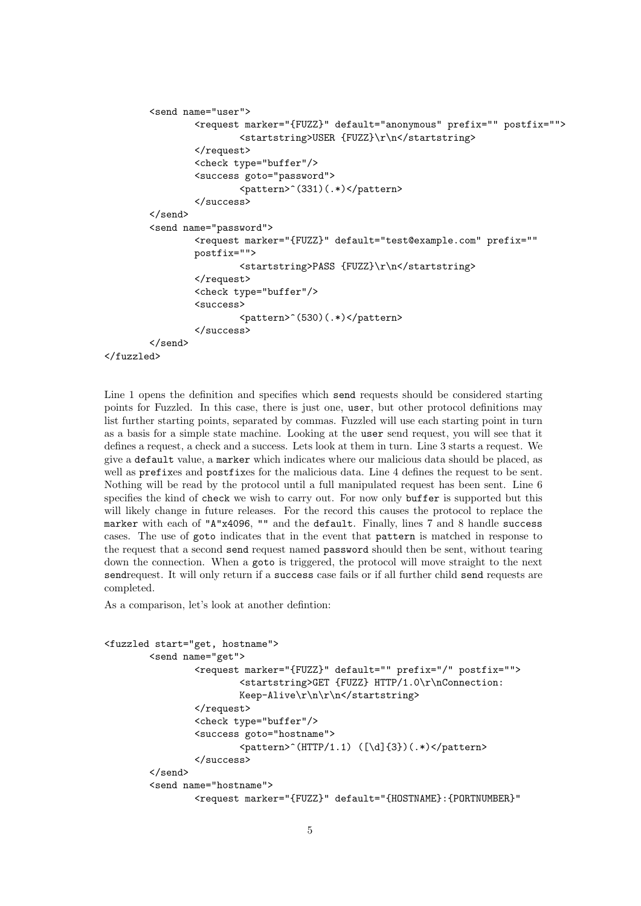```
<send name="user">
                <request marker="{FUZZ}" default="anonymous" prefix="" postfix="">
                        <startstring>USER {FUZZ}\r\n</startstring>
                </request>
                <check type="buffer"/>
                <success goto="password">
                        <pattern>^(331)(.*)</pattern>
                </success>
        </send>
        <send name="password">
                <request marker="{FUZZ}" default="test@example.com" prefix=""
                postfix="">
                        <startstring>PASS {FUZZ}\r\n</startstring>
                </request>
                <check type="buffer"/>
                <success>
                        <pattern>^(530)(.*)</pattern>
                </success>
        </send>
</fuzzled>
```
Line 1 opens the definition and specifies which send requests should be considered starting points for Fuzzled. In this case, there is just one, user, but other protocol definitions may list further starting points, separated by commas. Fuzzled will use each starting point in turn as a basis for a simple state machine. Looking at the user send request, you will see that it defines a request, a check and a success. Lets look at them in turn. Line 3 starts a request. We give a default value, a marker which indicates where our malicious data should be placed, as well as prefixes and postfixes for the malicious data. Line 4 defines the request to be sent. Nothing will be read by the protocol until a full manipulated request has been sent. Line 6 specifies the kind of check we wish to carry out. For now only buffer is supported but this will likely change in future releases. For the record this causes the protocol to replace the marker with each of "A"x4096, "" and the default. Finally, lines 7 and 8 handle success cases. The use of goto indicates that in the event that pattern is matched in response to the request that a second send request named password should then be sent, without tearing down the connection. When a goto is triggered, the protocol will move straight to the next sendrequest. It will only return if a success case fails or if all further child send requests are completed.

As a comparison, let's look at another defintion:

```
<fuzzled start="get, hostname">
        <send name="get">
                <request marker="{FUZZ}" default="" prefix="/" postfix="">
                        <startstring>GET {FUZZ} HTTP/1.0\r\nConnection:
                        Keep-Alive\r\n\r\n</startstring>
                </request>
                <check type="buffer"/>
                <success goto="hostname">
                        <pattern> (HTTP/1.1) ([\d]{3})(.*)</pattern>
                </success>
        </send>
        <send name="hostname">
                <request marker="{FUZZ}" default="{HOSTNAME}:{PORTNUMBER}"
```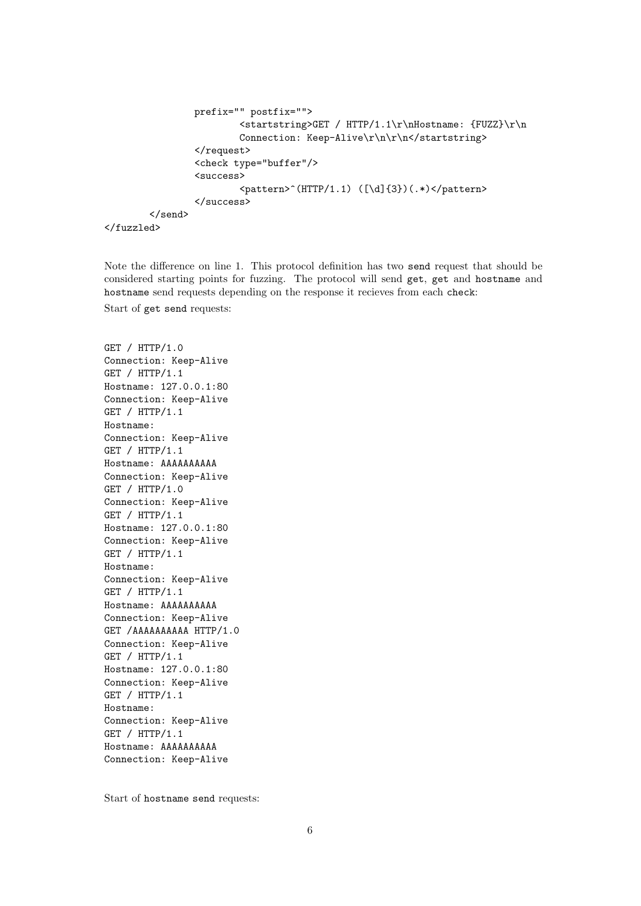```
prefix="" postfix="">
                <startstring>GET / HTTP/1.1\r\nHostname: {FUZZ}\r\n
                Connection: Keep-Alive\r\n\r\n</startstring>
        \langlerequest>
        <check type="buffer"/>
        <success>
                <pattern> (HTTP/1.1) ([\d]{3})(.*)</pattern>
        </success>
</send>
```

```
</fuzzled>
```
Note the difference on line 1. This protocol definition has two send request that should be considered starting points for fuzzing. The protocol will send get, get and hostname and hostname send requests depending on the response it recieves from each check:

Start of get send requests:

GET / HTTP/1.0 Connection: Keep-Alive GET / HTTP/1.1 Hostname: 127.0.0.1:80 Connection: Keep-Alive GET / HTTP/1.1 Hostname: Connection: Keep-Alive GET / HTTP/1.1 Hostname: AAAAAAAAAA Connection: Keep-Alive GET / HTTP/1.0 Connection: Keep-Alive GET / HTTP/1.1 Hostname: 127.0.0.1:80 Connection: Keep-Alive GET / HTTP/1.1 Hostname: Connection: Keep-Alive GET / HTTP/1.1 Hostname: AAAAAAAAAA Connection: Keep-Alive GET /AAAAAAAAAA HTTP/1.0 Connection: Keep-Alive GET / HTTP/1.1 Hostname: 127.0.0.1:80 Connection: Keep-Alive GET / HTTP/1.1 Hostname: Connection: Keep-Alive GET / HTTP/1.1 Hostname: AAAAAAAAAA Connection: Keep-Alive

Start of hostname send requests: